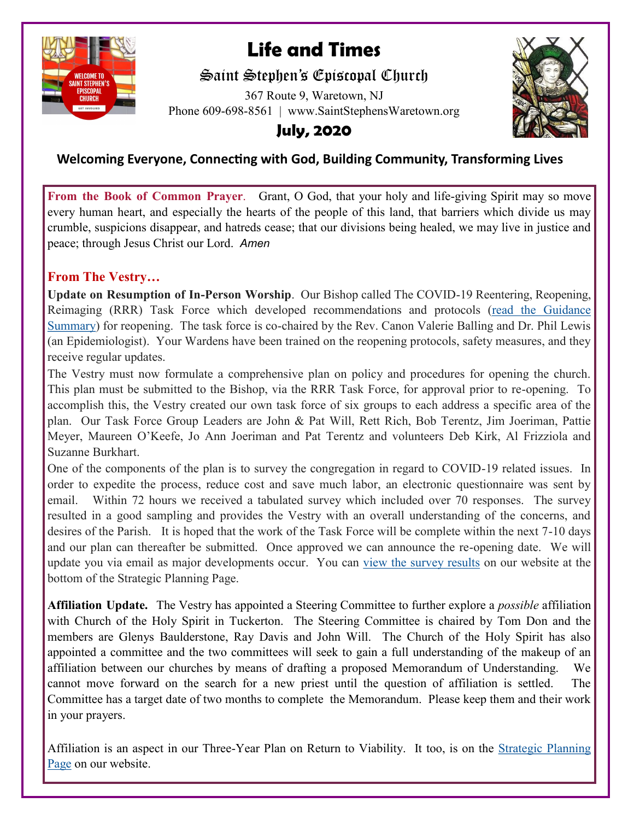

# **Life and Times**

## Saint Stephen's Episcopal Church

367 Route 9, Waretown, NJ Phone 609-698-8561 | www.SaintStephensWaretown.org



## **July, 2020**

### **Welcoming Everyone, Connecting with God, Building Community, Transforming Lives**

**From the Book of Common Prayer**. Grant, O God, that your holy and life-giving Spirit may so move every human heart, and especially the hearts of the people of this land, that barriers which divide us may crumble, suspicions disappear, and hatreds cease; that our divisions being healed, we may live in justice and peace; through Jesus Christ our Lord. *Amen* 

#### **From The Vestry…**

**Update on Resumption of In-Person Worship**. Our Bishop called The COVID-19 Reentering, Reopening, Reimaging (RRR) Task Force which developed recommendations and protocols [\(read the Guidance](https://s3-us-west-2.amazonaws.com/dioceseofnj/wp-content/uploads/2020/06/guidancesummary.pdf)  [Summary\)](https://s3-us-west-2.amazonaws.com/dioceseofnj/wp-content/uploads/2020/06/guidancesummary.pdf) for reopening. The task force is co-chaired by the Rev. Canon Valerie Balling and Dr. Phil Lewis (an Epidemiologist). Your Wardens have been trained on the reopening protocols, safety measures, and they receive regular updates.

The Vestry must now formulate a comprehensive plan on policy and procedures for opening the church. This plan must be submitted to the Bishop, via the RRR Task Force, for approval prior to re-opening. To accomplish this, the Vestry created our own task force of six groups to each address a specific area of the plan. Our Task Force Group Leaders are John & Pat Will, Rett Rich, Bob Terentz, Jim Joeriman, Pattie Meyer, Maureen O'Keefe, Jo Ann Joeriman and Pat Terentz and volunteers Deb Kirk, Al Frizziola and Suzanne Burkhart.

One of the components of the plan is to survey the congregation in regard to COVID-19 related issues. In order to expedite the process, reduce cost and save much labor, an electronic questionnaire was sent by email. Within 72 hours we received a tabulated survey which included over 70 responses. The survey resulted in a good sampling and provides the Vestry with an overall understanding of the concerns, and desires of the Parish. It is hoped that the work of the Task Force will be complete within the next 7-10 days and our plan can thereafter be submitted. Once approved we can announce the re-opening date. We will update you via email as major developments occur. You can [view the survey results](https://saintstephenswaretown.org/strategic-planning) on our website at the bottom of the Strategic Planning Page.

**Affiliation Update.** The Vestry has appointed a Steering Committee to further explore a *possible* affiliation with Church of the Holy Spirit in Tuckerton. The Steering Committee is chaired by Tom Don and the members are Glenys Baulderstone, Ray Davis and John Will. The Church of the Holy Spirit has also appointed a committee and the two committees will seek to gain a full understanding of the makeup of an affiliation between our churches by means of drafting a proposed Memorandum of Understanding. We cannot move forward on the search for a new priest until the question of affiliation is settled. The Committee has a target date of two months to complete the Memorandum. Please keep them and their work in your prayers.

Affiliation is an aspect in our Three-Year Plan on Return to Viability. It too, is on the [Strategic Planning](https://saintstephenswaretown.org/strategic-planning)  [Page](https://saintstephenswaretown.org/strategic-planning) on our website.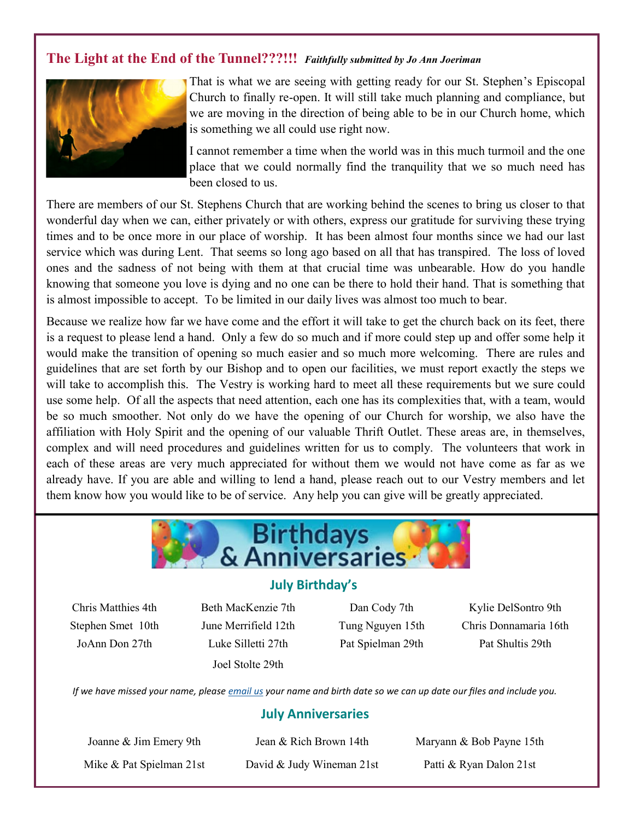### **The Light at the End of the Tunnel???!!!** *Faithfully submitted by Jo Ann Joeriman*



That is what we are seeing with getting ready for our St. Stephen's Episcopal Church to finally re-open. It will still take much planning and compliance, but we are moving in the direction of being able to be in our Church home, which is something we all could use right now.

I cannot remember a time when the world was in this much turmoil and the one place that we could normally find the tranquility that we so much need has been closed to us.

There are members of our St. Stephens Church that are working behind the scenes to bring us closer to that wonderful day when we can, either privately or with others, express our gratitude for surviving these trying times and to be once more in our place of worship. It has been almost four months since we had our last service which was during Lent. That seems so long ago based on all that has transpired. The loss of loved ones and the sadness of not being with them at that crucial time was unbearable. How do you handle knowing that someone you love is dying and no one can be there to hold their hand. That is something that is almost impossible to accept. To be limited in our daily lives was almost too much to bear.

Because we realize how far we have come and the effort it will take to get the church back on its feet, there is a request to please lend a hand. Only a few do so much and if more could step up and offer some help it would make the transition of opening so much easier and so much more welcoming. There are rules and guidelines that are set forth by our Bishop and to open our facilities, we must report exactly the steps we will take to accomplish this. The Vestry is working hard to meet all these requirements but we sure could use some help. Of all the aspects that need attention, each one has its complexities that, with a team, would be so much smoother. Not only do we have the opening of our Church for worship, we also have the affiliation with Holy Spirit and the opening of our valuable Thrift Outlet. These areas are, in themselves, complex and will need procedures and guidelines written for us to comply. The volunteers that work in each of these areas are very much appreciated for without them we would not have come as far as we already have. If you are able and willing to lend a hand, please reach out to our Vestry members and let them know how you would like to be of service. Any help you can give will be greatly appreciated.



#### **July Birthday's**

JoAnn Don 27th Luke Silletti 27th Pat Spielman 29th Pat Shultis 29th Joel Stolte 29th

Chris Matthies 4th Beth MacKenzie 7th Dan Cody 7th Kylie DelSontro 9th Stephen Smet 10th June Merrifield 12th Tung Nguyen 15th Chris Donnamaria 16th

*If we have missed your name, please [email us](mailto:parishadmin@ststephenswaretown.com?subject=Birthday%20List%20Update) your name and birth date so we can up date our files and include you.*

#### **July Anniversaries**

Mike & Pat Spielman 21st David & Judy Wineman 21st Patti & Ryan Dalon 21st

Joanne & Jim Emery 9th Jean & Rich Brown 14th Maryann & Bob Payne 15th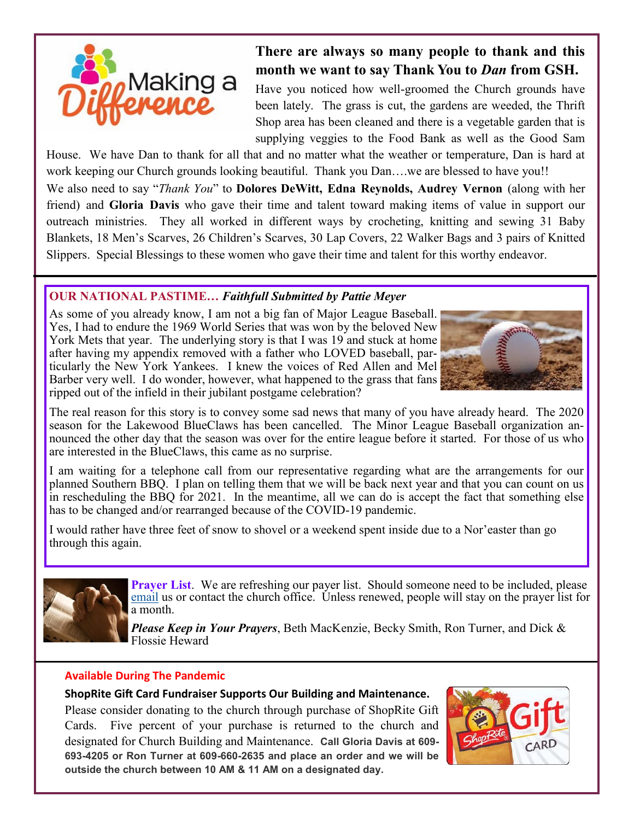

## **There are always so many people to thank and this month we want to say Thank You to** *Dan* **from GSH.**

Have you noticed how well-groomed the Church grounds have been lately. The grass is cut, the gardens are weeded, the Thrift Shop area has been cleaned and there is a vegetable garden that is supplying veggies to the Food Bank as well as the Good Sam

House. We have Dan to thank for all that and no matter what the weather or temperature, Dan is hard at work keeping our Church grounds looking beautiful. Thank you Dan….we are blessed to have you!! We also need to say "*Thank You*" to **Dolores DeWitt, Edna Reynolds, Audrey Vernon** (along with her friend) and **Gloria Davis** who gave their time and talent toward making items of value in support our outreach ministries. They all worked in different ways by crocheting, knitting and sewing 31 Baby Blankets, 18 Men's Scarves, 26 Children's Scarves, 30 Lap Covers, 22 Walker Bags and 3 pairs of Knitted

Slippers. Special Blessings to these women who gave their time and talent for this worthy endeavor.

#### **OUR NATIONAL PASTIME…** *Faithfull Submitted by Pattie Meyer*

As some of you already know, I am not a big fan of Major League Baseball. Yes, I had to endure the 1969 World Series that was won by the beloved New York Mets that year. The underlying story is that I was 19 and stuck at home after having my appendix removed with a father who LOVED baseball, particularly the New York Yankees. I knew the voices of Red Allen and Mel Barber very well. I do wonder, however, what happened to the grass that fans ripped out of the infield in their jubilant postgame celebration?



The real reason for this story is to convey some sad news that many of you have already heard. The 2020 season for the Lakewood BlueClaws has been cancelled. The Minor League Baseball organization announced the other day that the season was over for the entire league before it started. For those of us who are interested in the BlueClaws, this came as no surprise.

I am waiting for a telephone call from our representative regarding what are the arrangements for our planned Southern BBQ. I plan on telling them that we will be back next year and that you can count on us in rescheduling the BBQ for 2021. In the meantime, all we can do is accept the fact that something else has to be changed and/or rearranged because of the COVID-19 pandemic.

I would rather have three feet of snow to shovel or a weekend spent inside due to a Nor'easter than go through this again.



֦

**Prayer List**. We are refreshing our payer list. Should someone need to be included, please [email](mailto:saintstephenswaretown@gmail.com?subject=Prayer%20List) us or contact the church office. Unless renewed, people will stay on the prayer list for a month.

*Please Keep in Your Prayers*, Beth MacKenzie, Becky Smith, Ron Turner, and Dick & Flossie Heward

#### **Available During The Pandemic**

#### **ShopRite Gift Card Fundraiser Supports Our Building and Maintenance.**

Please consider donating to the church through purchase of ShopRite Gift Cards. Five percent of your purchase is returned to the church and designated for Church Building and Maintenance. **Call Gloria Davis at 609- 693-4205 or Ron Turner at 609-660-2635 and place an order and we will be outside the church between 10 AM & 11 AM on a designated day.** 

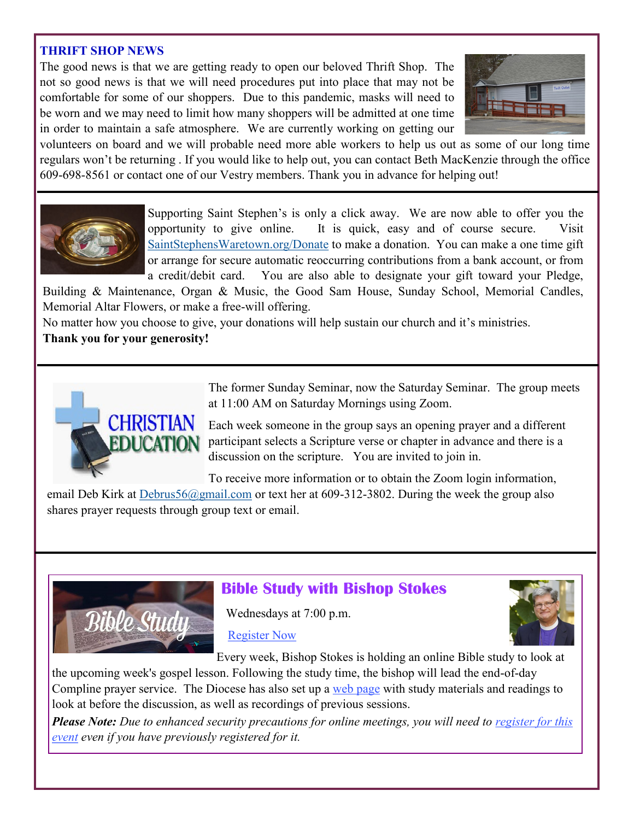#### **THRIFT SHOP NEWS**

The good news is that we are getting ready to open our beloved Thrift Shop. The not so good news is that we will need procedures put into place that may not be comfortable for some of our shoppers. Due to this pandemic, masks will need to be worn and we may need to limit how many shoppers will be admitted at one time in order to maintain a safe atmosphere. We are currently working on getting our



volunteers on board and we will probable need more able workers to help us out as some of our long time regulars won't be returning . If you would like to help out, you can contact Beth MacKenzie through the office 609-698-8561 or contact one of our Vestry members. Thank you in advance for helping out!



Supporting Saint Stephen's is only a click away. We are now able to offer you the opportunity to give online. It is quick, easy and of course secure. Visit [SaintStephensWaretown.org/Donate](https://saintstephenswaretown.org/donate) to make a donation. You can make a one time gift or arrange for secure automatic reoccurring contributions from a bank account, or from a credit/debit card. You are also able to designate your gift toward your Pledge,

Building & Maintenance, Organ & Music, the Good Sam House, Sunday School, Memorial Candles, Memorial Altar Flowers, or make a free-will offering.

No matter how you choose to give, your donations will help sustain our church and it's ministries. **Thank you for your generosity!**



The former Sunday Seminar, now the Saturday Seminar. The group meets at 11:00 AM on Saturday Mornings using Zoom.

Each week someone in the group says an opening prayer and a different participant selects a Scripture verse or chapter in advance and there is a discussion on the scripture. You are invited to join in.

To receive more information or to obtain the Zoom login information,

email Deb Kirk at *[Debrus56@gmail.com](mailto:Debrus56@gmail.com)* or text her at 609-312-3802. During the week the group also shares prayer requests through group text or email.



## **Bible Study with Bishop Stokes**

Wednesdays at 7:00 p.m.

[Register Now](https://DioceseofNJ.us18.list-manage.com/track/click?u=7c264b4b77ef5ef9bcfb336c5&id=f3a25a1c05&e=436f284faa)



Every week, Bishop Stokes is holding an online Bible study to look at

the upcoming week's gospel lesson. Following the study time, the bishop will lead the end-of-day Compline prayer service. The Diocese has also set up a [web page](https://DioceseofNJ.us18.list-manage.com/track/click?u=7c264b4b77ef5ef9bcfb336c5&id=d37ab5886e&e=436f284faa) with study materials and readings to look at before the discussion, as well as recordings of previous sessions.

*Please Note: Due to enhanced security precautions for online meetings, you will need to <u>register for this</u> [event](https://DioceseofNJ.us18.list-manage.com/track/click?u=7c264b4b77ef5ef9bcfb336c5&id=f2adf82abb&e=436f284faa) even if you have previously registered for it.*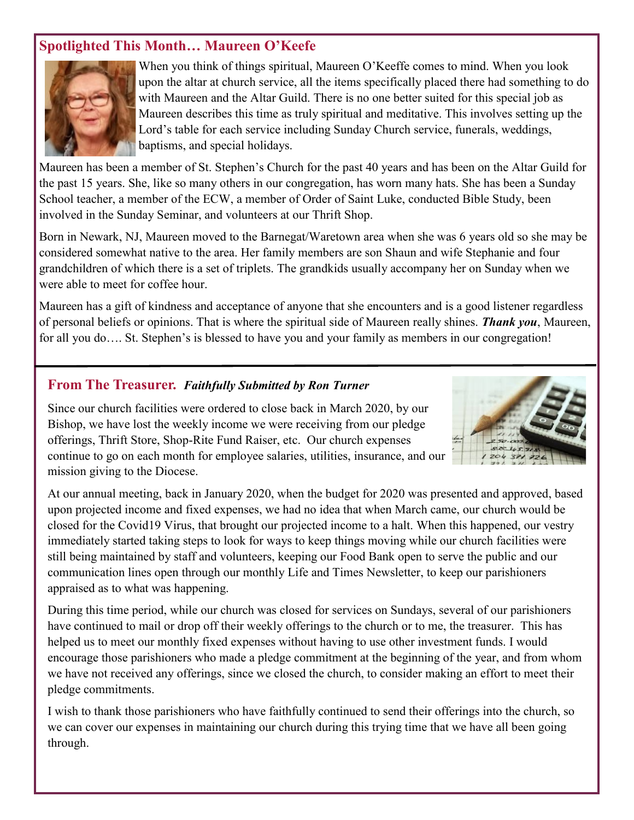### **Spotlighted This Month***…* **Maureen O'Keefe**



When you think of things spiritual, Maureen O'Keeffe comes to mind. When you look upon the altar at church service, all the items specifically placed there had something to do with Maureen and the Altar Guild. There is no one better suited for this special job as Maureen describes this time as truly spiritual and meditative. This involves setting up the Lord's table for each service including Sunday Church service, funerals, weddings, baptisms, and special holidays.

Maureen has been a member of St. Stephen's Church for the past 40 years and has been on the Altar Guild for the past 15 years. She, like so many others in our congregation, has worn many hats. She has been a Sunday School teacher, a member of the ECW, a member of Order of Saint Luke, conducted Bible Study, been involved in the Sunday Seminar, and volunteers at our Thrift Shop.

Born in Newark, NJ, Maureen moved to the Barnegat/Waretown area when she was 6 years old so she may be considered somewhat native to the area. Her family members are son Shaun and wife Stephanie and four grandchildren of which there is a set of triplets. The grandkids usually accompany her on Sunday when we were able to meet for coffee hour.

Maureen has a gift of kindness and acceptance of anyone that she encounters and is a good listener regardless of personal beliefs or opinions. That is where the spiritual side of Maureen really shines. *Thank you*, Maureen, for all you do.... St. Stephen's is blessed to have you and your family as members in our congregation!

#### **From The Treasurer.** *Faithfully Submitted by Ron Turner*

Since our church facilities were ordered to close back in March 2020, by our Bishop, we have lost the weekly income we were receiving from our pledge offerings, Thrift Store, Shop-Rite Fund Raiser, etc. Our church expenses continue to go on each month for employee salaries, utilities, insurance, and our mission giving to the Diocese.



At our annual meeting, back in January 2020, when the budget for 2020 was presented and approved, based upon projected income and fixed expenses, we had no idea that when March came, our church would be closed for the Covid19 Virus, that brought our projected income to a halt. When this happened, our vestry immediately started taking steps to look for ways to keep things moving while our church facilities were still being maintained by staff and volunteers, keeping our Food Bank open to serve the public and our communication lines open through our monthly Life and Times Newsletter, to keep our parishioners appraised as to what was happening.

During this time period, while our church was closed for services on Sundays, several of our parishioners have continued to mail or drop off their weekly offerings to the church or to me, the treasurer. This has helped us to meet our monthly fixed expenses without having to use other investment funds. I would encourage those parishioners who made a pledge commitment at the beginning of the year, and from whom we have not received any offerings, since we closed the church, to consider making an effort to meet their pledge commitments.

I wish to thank those parishioners who have faithfully continued to send their offerings into the church, so we can cover our expenses in maintaining our church during this trying time that we have all been going through.